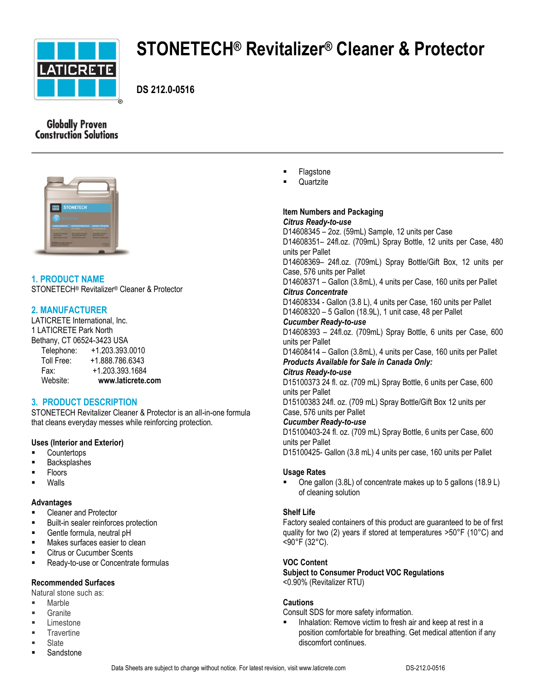

# **STONETECH® Revitalizer® Cleaner & Protector**

**DS 212.0-0516**

# **Globally Proven Construction Solutions**



# **1. PRODUCT NAME**

STONETECH® Revitalizer® Cleaner & Protector

# **2. MANUFACTURER**

LATICRETE International, Inc. 1 LATICRETE Park North Bethany, CT 06524-3423 USA Telephone: +1.203.393.0010

| Website:           | www.laticrete.com |
|--------------------|-------------------|
| Fax:               | +1.203.393.1684   |
| Toll Free:         | +1.888.786.6343   |
| <b>IVIVPHOIIV.</b> | .                 |

# **3. PRODUCT DESCRIPTION**

STONETECH Revitalizer Cleaner & Protector is an all-in-one formula that cleans everyday messes while reinforcing protection.

# **Uses (Interior and Exterior)**

- **Countertops**
- Backsplashes
- Floors
- Walls

## **Advantages**

- **EXEC** Cleaner and Protector
- **Built-in sealer reinforces protection**
- Gentle formula, neutral pH
- **Makes surfaces easier to clean**
- Citrus or Cucumber Scents
- **Ready-to-use or Concentrate formulas**

# **Recommended Surfaces**

Natural stone such as:

- Marble
- **Granite**
- Limestone
- **Travertine**
- Slate
- Sandstone
- Flagstone
- **Quartzite**

#### **Item Numbers and Packaging** *Citrus Ready-to-use*

D14608345 – 2oz. (59mL) Sample, 12 units per Case D14608351– 24fl.oz. (709mL) Spray Bottle, 12 units per Case, 480 units per Pallet D14608369– 24fl.oz. (709mL) Spray Bottle/Gift Box, 12 units per Case, 576 units per Pallet D14608371 – Gallon (3.8mL), 4 units per Case, 160 units per Pallet *Citrus Concentrate* D14608334 - Gallon (3.8 L), 4 units per Case, 160 units per Pallet D14608320 – 5 Gallon (18.9L), 1 unit case, 48 per Pallet *Cucumber Ready-to-use* D14608393 – 24fl.oz. (709mL) Spray Bottle, 6 units per Case, 600 units per Pallet

D14608414 – Gallon (3.8mL), 4 units per Case, 160 units per Pallet *Products Available for Sale in Canada Only:*

## *Citrus Ready-to-use*

D15100373 24 fl. oz. (709 mL) Spray Bottle, 6 units per Case, 600 units per Pallet

D15100383 24fl. oz. (709 mL) Spray Bottle/Gift Box 12 units per Case, 576 units per Pallet

## *Cucumber Ready-to-use*

D15100403-24 fl. oz. (709 mL) Spray Bottle, 6 units per Case, 600 units per Pallet

D15100425- Gallon (3.8 mL) 4 units per case, 160 units per Pallet

## **Usage Rates**

 One gallon (3.8L) of concentrate makes up to 5 gallons (18.9 L) of cleaning solution

## **Shelf Life**

Factory sealed containers of this product are guaranteed to be of first quality for two (2) years if stored at temperatures >50°F (10°C) and <90°F (32°C).

# **VOC Content**

**Subject to Consumer Product VOC Regulations** <0.90% (Revitalizer RTU)

# **Cautions**

Consult SDS for more safety information.

 Inhalation: Remove victim to fresh air and keep at rest in a position comfortable for breathing. Get medical attention if any discomfort continues.